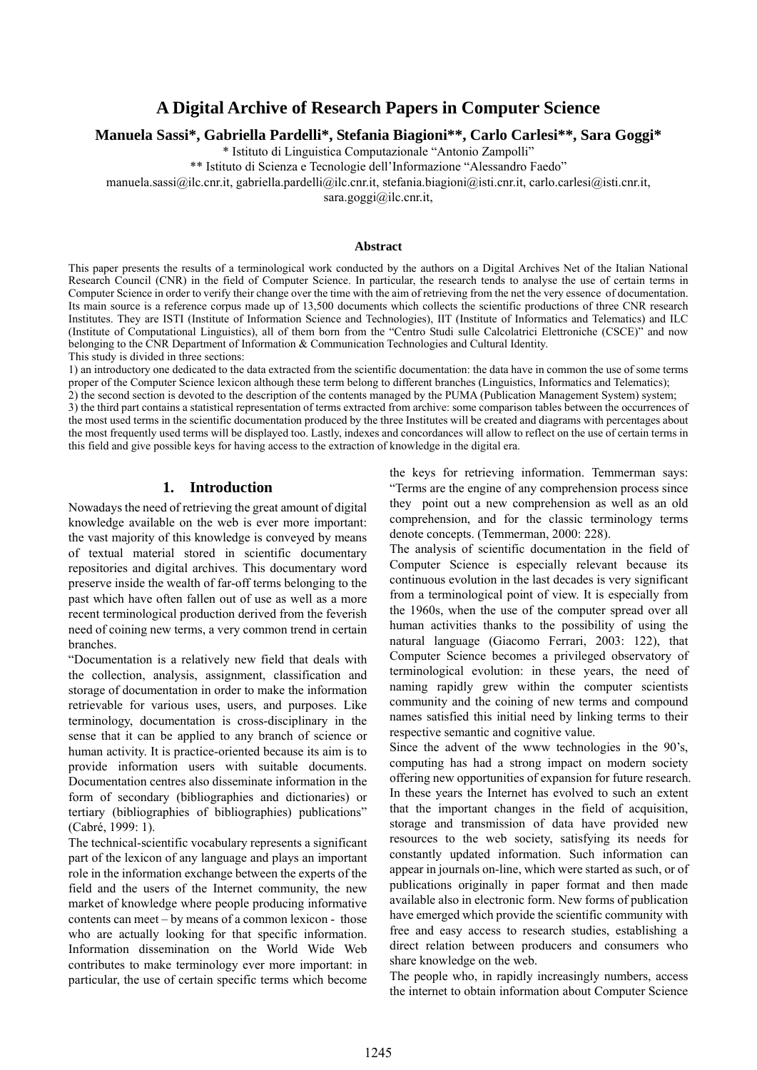# **A Digital Archive of Research Papers in Computer Science**

**Manuela Sassi\*, Gabriella Pardelli\*, Stefania Biagioni\*\*, Carlo Carlesi\*\*, Sara Goggi\*** 

\* Istituto di Linguistica Computazionale "Antonio Zampolli"

\*\* Istituto di Scienza e Tecnologie dell'Informazione "Alessandro Faedo"

manuela.sassi@ilc.cnr.it, gabriella.pardelli@ilc.cnr.it, stefania.biagioni@isti.cnr.it, carlo.carlesi@isti.cnr.it,

 $sara.goggi@ile.cnr.it,$ 

#### **Abstract**

This paper presents the results of a terminological work conducted by the authors on a Digital Archives Net of the Italian National Research Council (CNR) in the field of Computer Science. In particular, the research tends to analyse the use of certain terms in Computer Science in order to verify their change over the time with the aim of retrieving from the net the very essence of documentation. Its main source is a reference corpus made up of 13,500 documents which collects the scientific productions of three CNR research Institutes. They are ISTI (Institute of Information Science and Technologies), IIT (Institute of Informatics and Telematics) and ILC (Institute of Computational Linguistics), all of them born from the "Centro Studi sulle Calcolatrici Elettroniche (CSCE)" and now belonging to the CNR Department of Information & Communication Technologies and Cultural Identity. This study is divided in three sections:

1) an introductory one dedicated to the data extracted from the scientific documentation: the data have in common the use of some terms proper of the Computer Science lexicon although these term belong to different branches (Linguistics, Informatics and Telematics);

2) the second section is devoted to the description of the contents managed by the PUMA (Publication Management System) system; 3) the third part contains a statistical representation of terms extracted from archive: some comparison tables between the occurrences of the most used terms in the scientific documentation produced by the three Institutes will be created and diagrams with percentages about the most frequently used terms will be displayed too. Lastly, indexes and concordances will allow to reflect on the use of certain terms in this field and give possible keys for having access to the extraction of knowledge in the digital era.

## **1. Introduction**

Nowadays the need of retrieving the great amount of digital knowledge available on the web is ever more important: the vast majority of this knowledge is conveyed by means of textual material stored in scientific documentary repositories and digital archives. This documentary word preserve inside the wealth of far-off terms belonging to the past which have often fallen out of use as well as a more recent terminological production derived from the feverish need of coining new terms, a very common trend in certain branches.

"Documentation is a relatively new field that deals with the collection, analysis, assignment, classification and storage of documentation in order to make the information retrievable for various uses, users, and purposes. Like terminology, documentation is cross-disciplinary in the sense that it can be applied to any branch of science or human activity. It is practice-oriented because its aim is to provide information users with suitable documents. Documentation centres also disseminate information in the form of secondary (bibliographies and dictionaries) or tertiary (bibliographies of bibliographies) publications" (Cabré, 1999: 1).

The technical-scientific vocabulary represents a significant part of the lexicon of any language and plays an important role in the information exchange between the experts of the field and the users of the Internet community, the new market of knowledge where people producing informative contents can meet – by means of a common lexicon - those who are actually looking for that specific information. Information dissemination on the World Wide Web contributes to make terminology ever more important: in particular, the use of certain specific terms which become

the keys for retrieving information. Temmerman says: "Terms are the engine of any comprehension process since they point out a new comprehension as well as an old comprehension, and for the classic terminology terms denote concepts. (Temmerman, 2000: 228).

The analysis of scientific documentation in the field of Computer Science is especially relevant because its continuous evolution in the last decades is very significant from a terminological point of view. It is especially from the 1960s, when the use of the computer spread over all human activities thanks to the possibility of using the natural language (Giacomo Ferrari, 2003: 122), that Computer Science becomes a privileged observatory of terminological evolution: in these years, the need of naming rapidly grew within the computer scientists community and the coining of new terms and compound names satisfied this initial need by linking terms to their respective semantic and cognitive value.

Since the advent of the www technologies in the 90's, computing has had a strong impact on modern society offering new opportunities of expansion for future research. In these years the Internet has evolved to such an extent that the important changes in the field of acquisition, storage and transmission of data have provided new resources to the web society, satisfying its needs for constantly updated information. Such information can appear in journals on-line, which were started as such, or of publications originally in paper format and then made available also in electronic form. New forms of publication have emerged which provide the scientific community with free and easy access to research studies, establishing a direct relation between producers and consumers who share knowledge on the web.

The people who, in rapidly increasingly numbers, access the internet to obtain information about Computer Science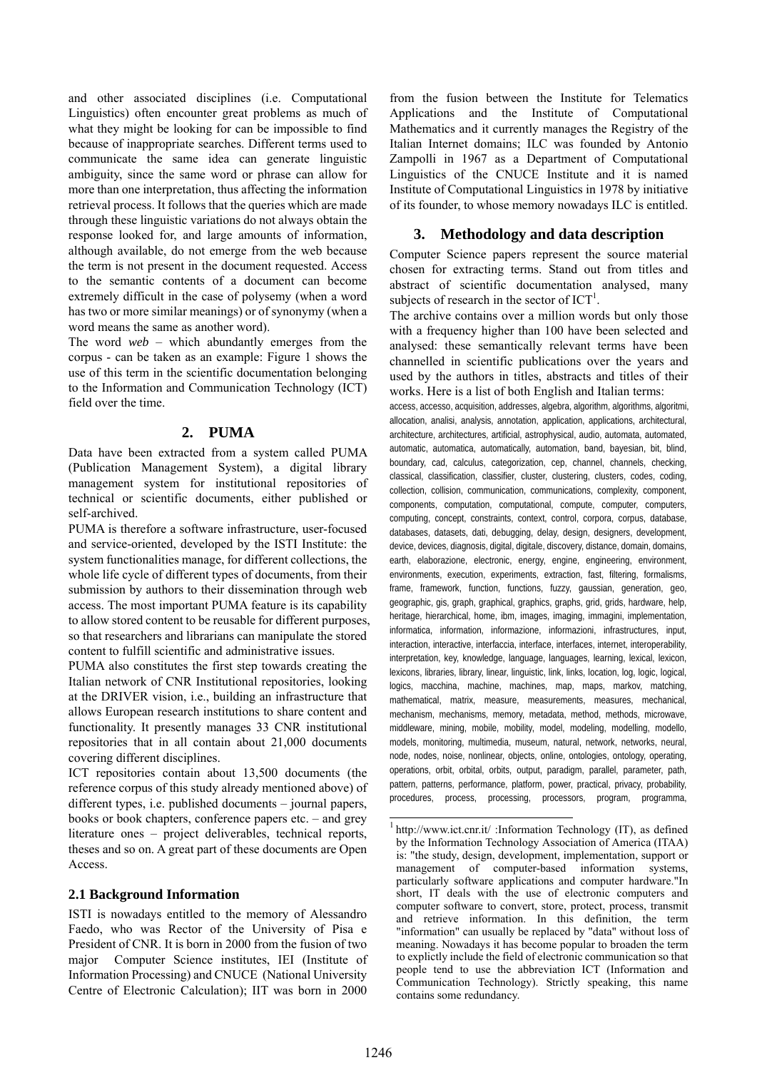and other associated disciplines (i.e. Computational Linguistics) often encounter great problems as much of what they might be looking for can be impossible to find because of inappropriate searches. Different terms used to communicate the same idea can generate linguistic ambiguity, since the same word or phrase can allow for more than one interpretation, thus affecting the information retrieval process. It follows that the queries which are made through these linguistic variations do not always obtain the response looked for, and large amounts of information, although available, do not emerge from the web because the term is not present in the document requested. Access to the semantic contents of a document can become extremely difficult in the case of polysemy (when a word has two or more similar meanings) or of synonymy (when a word means the same as another word).

The word *web* – which abundantly emerges from the corpus - can be taken as an example: Figure 1 shows the use of this term in the scientific documentation belonging to the Information and Communication Technology (ICT) field over the time.

#### **2. PUMA**

Data have been extracted from a system called PUMA (Publication Management System), a digital library management system for institutional repositories of technical or scientific documents, either published or self-archived.

PUMA is therefore a software infrastructure, user-focused and service-oriented, developed by the ISTI Institute: the system functionalities manage, for different collections, the whole life cycle of different types of documents, from their submission by authors to their dissemination through web access. The most important PUMA feature is its capability to allow stored content to be reusable for different purposes, so that researchers and librarians can manipulate the stored content to fulfill scientific and administrative issues.

PUMA also constitutes the first step towards creating the Italian network of CNR Institutional repositories, looking at the DRIVER vision, i.e., building an infrastructure that allows European research institutions to share content and functionality. It presently manages 33 CNR institutional repositories that in all contain about 21,000 documents covering different disciplines.

ICT repositories contain about 13,500 documents (the reference corpus of this study already mentioned above) of different types, i.e. published documents – journal papers, books or book chapters, conference papers etc. – and grey literature ones – project deliverables, technical reports, theses and so on. A great part of these documents are Open Access.

#### **2.1 Background Information**

ISTI is nowadays entitled to the memory of Alessandro Faedo, who was Rector of the University of Pisa e President of CNR. It is born in 2000 from the fusion of two major Computer Science institutes, IEI (Institute of Information Processing) and CNUCE (National University Centre of Electronic Calculation); IIT was born in 2000

from the fusion between the Institute for Telematics Applications and the Institute of Computational Mathematics and it currently manages the Registry of the Italian Internet domains; ILC was founded by Antonio Zampolli in 1967 as a Department of Computational Linguistics of the CNUCE Institute and it is named Institute of Computational Linguistics in 1978 by initiative of its founder, to whose memory nowadays ILC is entitled.

#### **3. Methodology and data description**

Computer Science papers represent the source material chosen for extracting terms. Stand out from titles and abstract of scientific documentation analysed, many subjects of research in the sector of  $\text{ICT}^1$ .

The archive contains over a million words but only those with a frequency higher than 100 have been selected and analysed: these semantically relevant terms have been channelled in scientific publications over the years and used by the authors in titles, abstracts and titles of their works. Here is a list of both English and Italian terms:

access, accesso, acquisition, addresses, algebra, algorithm, algorithms, algoritmi, allocation, analisi, analysis, annotation, application, applications, architectural, architecture, architectures, artificial, astrophysical, audio, automata, automated, automatic, automatica, automatically, automation, band, bayesian, bit, blind, boundary, cad, calculus, categorization, cep, channel, channels, checking, classical, classification, classifier, cluster, clustering, clusters, codes, coding, collection, collision, communication, communications, complexity, component, components, computation, computational, compute, computer, computers, computing, concept, constraints, context, control, corpora, corpus, database, databases, datasets, dati, debugging, delay, design, designers, development, device, devices, diagnosis, digital, digitale, discovery, distance, domain, domains, earth, elaborazione, electronic, energy, engine, engineering, environment, environments, execution, experiments, extraction, fast, filtering, formalisms, frame, framework, function, functions, fuzzy, gaussian, generation, geo, geographic, gis, graph, graphical, graphics, graphs, grid, grids, hardware, help, heritage, hierarchical, home, ibm, images, imaging, immagini, implementation, informatica, information, informazione, informazioni, infrastructures, input, interaction, interactive, interfaccia, interface, interfaces, internet, interoperability, interpretation, key, knowledge, language, languages, learning, lexical, lexicon, lexicons, libraries, library, linear, linguistic, link, links, location, log, logic, logical, logics, macchina, machine, machines, map, maps, markov, matching, mathematical, matrix, measure, measurements, measures, mechanical, mechanism, mechanisms, memory, metadata, method, methods, microwave, middleware, mining, mobile, mobility, model, modeling, modelling, modello, models, monitoring, multimedia, museum, natural, network, networks, neural, node, nodes, noise, nonlinear, objects, online, ontologies, ontology, operating, operations, orbit, orbital, orbits, output, paradigm, parallel, parameter, path, pattern, patterns, performance, platform, power, practical, privacy, probability, procedures, process, processing, processors, program, programma,

 $\overline{a}$ 

 $1$  http://www.ict.cnr.it/ :Information Technology (IT), as defined by the Information Technology Association of America (ITAA) is: "the study, design, development, implementation, support or management of computer-based information systems, particularly software applications and computer hardware."In short, IT deals with the use of electronic computers and computer software to convert, store, protect, process, transmit and retrieve information. In this definition, the term "information" can usually be replaced by "data" without loss of meaning. Nowadays it has become popular to broaden the term to explictly include the field of electronic communication so that people tend to use the abbreviation ICT (Information and Communication Technology). Strictly speaking, this name contains some redundancy.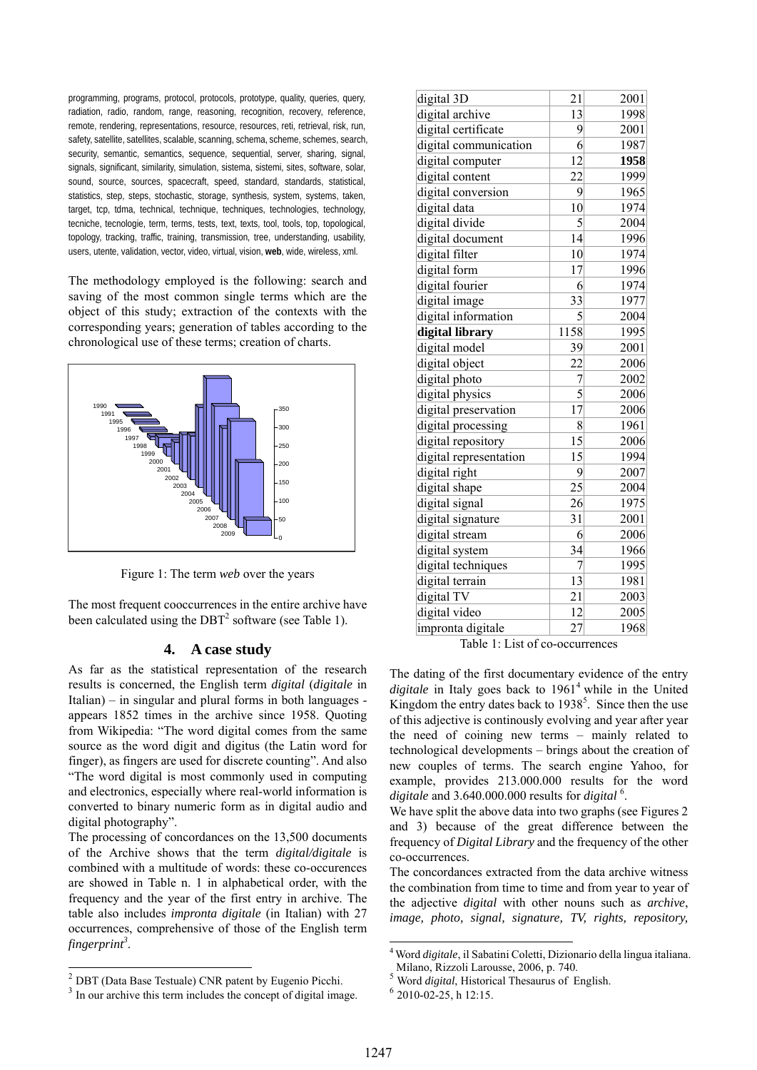programming, programs, protocol, protocols, prototype, quality, queries, query, radiation, radio, random, range, reasoning, recognition, recovery, reference, remote, rendering, representations, resource, resources, reti, retrieval, risk, run, safety, satellite, satellites, scalable, scanning, schema, scheme, schemes, search, security, semantic, semantics, sequence, sequential, server, sharing, signal, signals, significant, similarity, simulation, sistema, sistemi, sites, software, solar, sound, source, sources, spacecraft, speed, standard, standards, statistical, statistics, step, steps, stochastic, storage, synthesis, system, systems, taken, target, tcp, tdma, technical, technique, techniques, technologies, technology, tecniche, tecnologie, term, terms, tests, text, texts, tool, tools, top, topological, topology, tracking, traffic, training, transmission, tree, understanding, usability, users, utente, validation, vector, video, virtual, vision, **web**, wide, wireless, xml.

The methodology employed is the following: search and saving of the most common single terms which are the object of this study; extraction of the contexts with the corresponding years; generation of tables according to the chronological use of these terms; creation of charts.



Figure 1: The term *web* over the years

The most frequent cooccurrences in the entire archive have been calculated using the  $DBT<sup>2</sup>$  software (see Table 1).

### **4. A case study**

As far as the statistical representation of the research results is concerned, the English term *digital* (*digitale* in Italian) – in singular and plural forms in both languages appears 1852 times in the archive since 1958. Quoting from Wikipedia: "The word digital comes from the same source as the word digit and digitus (the Latin word for finger), as fingers are used for discrete counting". And also "The word digital is most commonly used in computing and electronics, especially where real-world information is converted to binary numeric form as in digital audio and digital photography".

The processing of concordances on the 13,500 documents of the Archive shows that the term *digital/digitale* is combined with a multitude of words: these co-occurences are showed in Table n. 1 in alphabetical order, with the frequency and the year of the first entry in archive. The table also includes *impronta digitale* (in Italian) with 27 occurrences, comprehensive of those of the English term fingerprint<sup>3</sup>.

l

| digital 3D             | 21              | 2001 |
|------------------------|-----------------|------|
| digital archive        | 13              | 1998 |
| digital certificate    | 9               | 2001 |
| digital communication  | 6               | 1987 |
| digital computer       | 12              | 1958 |
| digital content        | $\overline{22}$ | 1999 |
| digital conversion     | 9               | 1965 |
| digital data           | 10              | 1974 |
| digital divide         | 5               | 2004 |
| digital document       | 14              | 1996 |
| digital filter         | 10              | 1974 |
| digital form           | 17              | 1996 |
| digital fourier        | 6               | 1974 |
| digital image          | 33              | 1977 |
| digital information    | 5               | 2004 |
| digital library        | 1158            | 1995 |
| digital model          | 39              | 2001 |
| digital object         | $\overline{22}$ | 2006 |
| digital photo          | 7               | 2002 |
| digital physics        | 5               | 2006 |
| digital preservation   | 17              | 2006 |
| digital processing     | 8               | 1961 |
| digital repository     | 15              | 2006 |
| digital representation | 15              | 1994 |
| digital right          | 9               | 2007 |
| digital shape          | 25              | 2004 |
| digital signal         | 26              | 1975 |
| digital signature      | 31              | 2001 |
| digital stream         | 6               | 2006 |
| digital system         | 34              | 1966 |
| digital techniques     | 7               | 1995 |
| digital terrain        | 13              | 1981 |
| digital TV             | 21              | 2003 |
| digital video          | 12              | 2005 |
| impronta digitale      | 27              | 1968 |
|                        |                 |      |

Table 1: List of co-occurrences

The dating of the first documentary evidence of the entry digitale in Italy goes back to 1961<sup>4</sup> while in the United Kingdom the entry dates back to  $1938<sup>5</sup>$ . Since then the use of this adjective is continously evolving and year after year the need of coining new terms – mainly related to technological developments – brings about the creation of new couples of terms. The search engine Yahoo, for example, provides 213.000.000 results for the word *digitale* and 3.640.000.000 results for *digital* <sup>6</sup> .

We have split the above data into two graphs (see Figures 2 and 3) because of the great difference between the frequency of *Digital Library* and the frequency of the other co-occurrences.

The concordances extracted from the data archive witness the combination from time to time and from year to year of the adjective *digital* with other nouns such as *archive*, *image, photo, signal, signature, TV, rights, repository,* 

-

 $\frac{2}{3}$  DBT (Data Base Testuale) CNR patent by Eugenio Picchi.  $\frac{3}{3}$  In our archive this term includes the concept of digital image.

<sup>4</sup> Word *digitale*, il Sabatini Coletti, Dizionario della lingua italiana. Milano, Rizzoli Larousse, 2006, p. 740.

<sup>5</sup> Word *digital*, Historical Thesaurus of English. <sup>6</sup> 2010-02-25, h 12:15.